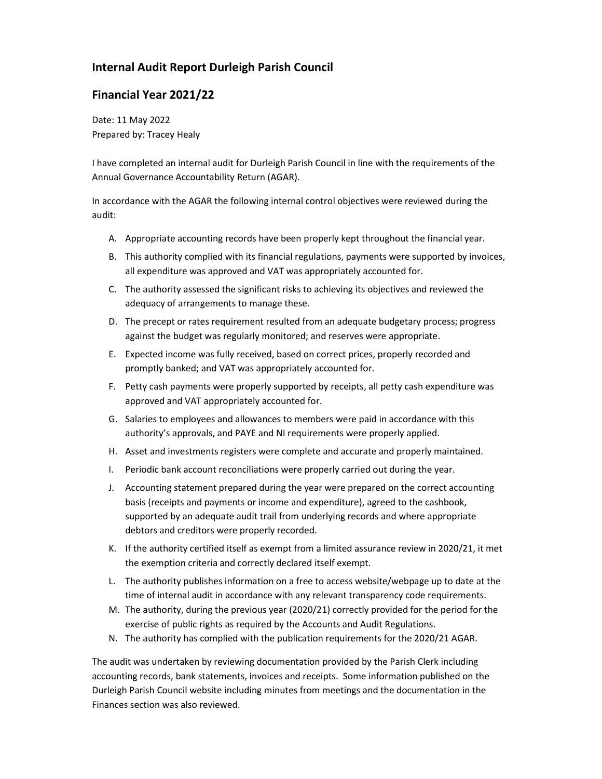## Internal Audit Report Durleigh Parish Council

## Financial Year 2021/22

Date: 11 May 2022 Prepared by: Tracey Healy

I have completed an internal audit for Durleigh Parish Council in line with the requirements of the Annual Governance Accountability Return (AGAR).

In accordance with the AGAR the following internal control objectives were reviewed during the audit:

- A. Appropriate accounting records have been properly kept throughout the financial year.
- B. This authority complied with its financial regulations, payments were supported by invoices, all expenditure was approved and VAT was appropriately accounted for.
- C. The authority assessed the significant risks to achieving its objectives and reviewed the adequacy of arrangements to manage these.
- D. The precept or rates requirement resulted from an adequate budgetary process; progress against the budget was regularly monitored; and reserves were appropriate.
- E. Expected income was fully received, based on correct prices, properly recorded and promptly banked; and VAT was appropriately accounted for.
- F. Petty cash payments were properly supported by receipts, all petty cash expenditure was approved and VAT appropriately accounted for.
- G. Salaries to employees and allowances to members were paid in accordance with this authority's approvals, and PAYE and NI requirements were properly applied.
- H. Asset and investments registers were complete and accurate and properly maintained.
- I. Periodic bank account reconciliations were properly carried out during the year.
- J. Accounting statement prepared during the year were prepared on the correct accounting basis (receipts and payments or income and expenditure), agreed to the cashbook, supported by an adequate audit trail from underlying records and where appropriate debtors and creditors were properly recorded.
- K. If the authority certified itself as exempt from a limited assurance review in 2020/21, it met the exemption criteria and correctly declared itself exempt.
- L. The authority publishes information on a free to access website/webpage up to date at the time of internal audit in accordance with any relevant transparency code requirements.
- M. The authority, during the previous year (2020/21) correctly provided for the period for the exercise of public rights as required by the Accounts and Audit Regulations.
- N. The authority has complied with the publication requirements for the 2020/21 AGAR.

The audit was undertaken by reviewing documentation provided by the Parish Clerk including accounting records, bank statements, invoices and receipts. Some information published on the Durleigh Parish Council website including minutes from meetings and the documentation in the Finances section was also reviewed.